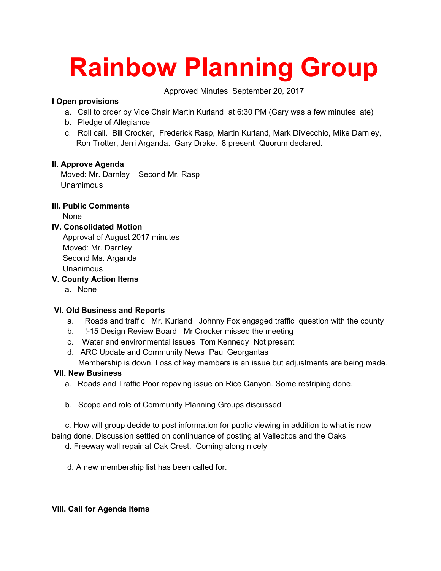# **Rainbow Planning Group**

Approved Minutes September 20, 2017

# **I Open provisions**

- a. Call to order by Vice Chair Martin Kurland at 6:30 PM (Gary was a few minutes late)
- b. Pledge of Allegiance
- c. Roll call. Bill Crocker, Frederick Rasp, Martin Kurland, Mark DiVecchio, Mike Darnley, Ron Trotter, Jerri Arganda. Gary Drake. 8 present Quorum declared.

# **II. Approve Agenda**

 Moved: Mr. Darnley Second Mr. Rasp Unamimous

# **III. Public Comments**

None

#### **IV. Consolidated Motion**

 Approval of August 2017 minutes Moved: Mr. Darnley Second Ms. Arganda Unanimous

#### **V. County Action Items**

a. None

#### **VI**. **Old Business and Reports**

- a. Roads and traffic Mr. Kurland Johnny Fox engaged traffic question with the county
- b. !-15 Design Review Board Mr Crocker missed the meeting
- c. Water and environmental issues Tom Kennedy Not present
- d. ARC Update and Community News Paul Georgantas Membership is down. Loss of key members is an issue but adjustments are being made.

# **VII. New Business**

- a. Roads and Traffic Poor repaving issue on Rice Canyon. Some restriping done.
- b. Scope and role of Community Planning Groups discussed

 c. How will group decide to post information for public viewing in addition to what is now being done. Discussion settled on continuance of posting at Vallecitos and the Oaks

d. Freeway wall repair at Oak Crest. Coming along nicely

d. A new membership list has been called for.

#### **VIII. Call for Agenda Items**